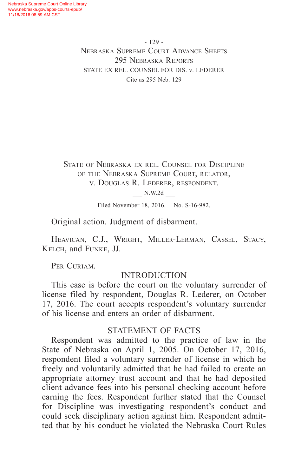- 129 - Nebraska Supreme Court Advance Sheets 295 Nebraska Reports STATE EX REL. COUNSEL FOR DIS. v. LEDERER Cite as 295 Neb. 129

State of Nebraska ex rel. Counsel for Discipline of the Nebraska Supreme Court, relator, v. Douglas R. Lederer, respondent.

\_\_\_ N.W.2d \_\_\_

Filed November 18, 2016. No. S-16-982.

Original action. Judgment of disbarment.

Heavican, C.J., Wright, Miller-Lerman, Cassel, Stacy, Kelch, and Funke, JJ.

PER CURIAM.

## INTRODUCTION

This case is before the court on the voluntary surrender of license filed by respondent, Douglas R. Lederer, on October 17, 2016. The court accepts respondent's voluntary surrender of his license and enters an order of disbarment.

## STATEMENT OF FACTS

Respondent was admitted to the practice of law in the State of Nebraska on April 1, 2005. On October 17, 2016, respondent filed a voluntary surrender of license in which he freely and voluntarily admitted that he had failed to create an appropriate attorney trust account and that he had deposited client advance fees into his personal checking account before earning the fees. Respondent further stated that the Counsel for Discipline was investigating respondent's conduct and could seek disciplinary action against him. Respondent admitted that by his conduct he violated the Nebraska Court Rules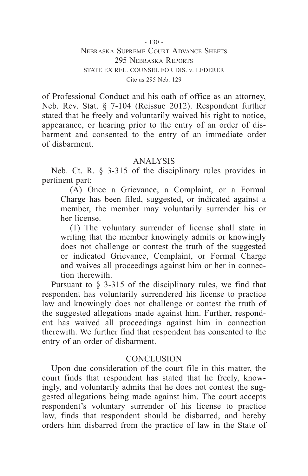$-130 -$ 

Nebraska Supreme Court Advance Sheets 295 Nebraska Reports STATE EX REL. COUNSEL FOR DIS. v. LEDERER Cite as 295 Neb. 129

of Professional Conduct and his oath of office as an attorney, Neb. Rev. Stat. § 7-104 (Reissue 2012). Respondent further stated that he freely and voluntarily waived his right to notice, appearance, or hearing prior to the entry of an order of disbarment and consented to the entry of an immediate order of disbarment.

## ANALYSIS

Neb. Ct. R. § 3-315 of the disciplinary rules provides in pertinent part:

(A) Once a Grievance, a Complaint, or a Formal Charge has been filed, suggested, or indicated against a member, the member may voluntarily surrender his or her license.

(1) The voluntary surrender of license shall state in writing that the member knowingly admits or knowingly does not challenge or contest the truth of the suggested or indicated Grievance, Complaint, or Formal Charge and waives all proceedings against him or her in connection therewith.

Pursuant to § 3-315 of the disciplinary rules, we find that respondent has voluntarily surrendered his license to practice law and knowingly does not challenge or contest the truth of the suggested allegations made against him. Further, respondent has waived all proceedings against him in connection therewith. We further find that respondent has consented to the entry of an order of disbarment.

## **CONCLUSION**

Upon due consideration of the court file in this matter, the court finds that respondent has stated that he freely, knowingly, and voluntarily admits that he does not contest the suggested allegations being made against him. The court accepts respondent's voluntary surrender of his license to practice law, finds that respondent should be disbarred, and hereby orders him disbarred from the practice of law in the State of